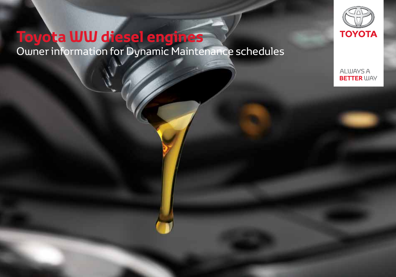# **Toyota WW diesel engines** Owner information for Dynamic Maintenance schedules



**ALWAYS A BETTER WAY**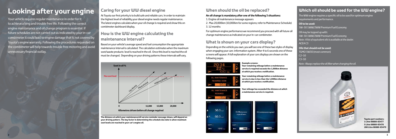# **Caring for your WW diesel engine**

At Toyota our first priority is to build safe and reliable cars. In order to maintain the highest level of reliability your diesel engine needs regular maintenance. The latest engines calculate when your oil change is required and show this on combimeter dashboard display.

# **How is the WW engine calculating the maintenance interval?**

Based on your vehicle's average speed and fuel consumption the appropriate maintenance interval is calculated. The calculation estimates when the maximum soot/waste products level is reached in the oil. Once this level is reached the oil must be changed. Depending on your driving patterns these intervals will vary.

# **Looking after your engine**

Your vehicle requires regular maintenance in order for it to achieve a long and trouble free life. Following the correct engine maintenance and oil change program is essential. If future schedules are not carried out as indicated by your in-car combimeter it could lead to engine damage that is not covered by Toyota's engine warranty. Following the procedures requested on the combimeter will help towards trouble free motoring and avoid unnecessary financial outlay.



**The distance at which your maintenance/oil service reminder message shows, will depend on your driving pattern. The key factor in determining the schedule due date is when maximum soot levels are reached in your car's engine oil.**



**Toyota part numbers: 1 Litre 08880-83477 5 Litre 08880-83478 208 Litre 08880-83479**

# **Which oil should be used for the WW engine?**

The WW engine requires a specific oil to be used for optimum engine requirements and performance.

**Oil to be used:** 5W-30 1WW/2WW Premium Fuel Economy

Oil may be topped up with: 5W-30 1WW/2WW Premium Fuel Economy *Note : A list of equivalent oils is available at the dealer.* ACEA C3

**Oils that should not be used:** TGMO 5W30 (most common) C2-10 C3-10 *Note : Always replace the oil filter when changing the oil.*



# **When should the oil be replaced?**

### **An oil change is mandatory after one of the following 3 situations:**

- 1. Engine oil maintenance message appears
- 2. Max 20,000km (10,000km for some regions; refer to Maintenance Schedule) 3. 12 months

For optimum engine performance we recommend you proceed with all future oil change maintenance as indicated on your in-car combimeter.

# **What is shown on your cars display?**

Depending on the vehicle you own, you will see one of these two styles of display when engaging your cars information system. After 4 to 6 seconds one of these screens will appear. A full explanation of your cars displays are shown on the following pages.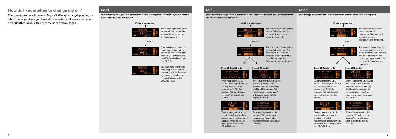## **How do I know when to change my oil?**

There are two types of screen in Toyota WW engine cars, depending on which model you have, you'll see either a series of oil service reminder scenarios that look like this, or those on the follow pages.

> The remaining mileage before service (oil replacement) is shown with amber text on black background.



The passed mileage after the needed service (oil replacement) is shown with black text on amber background and minus sign.

OIL HANTENANCE REOURED

- The remaining mileage before service (oil replacement) is shown with black text on amber background.
- The remaining mileage before service (oil replacement) is shown with black text on amber background together with the message "Oil Maintenance required soon".



6 seconds after showing the remaining mileage before service (oil replacement) the previously selected view in the ODO area is shown again (e.g. TRIP B).







You can always confirm the remaining mileage until the next service (oil replacement) again when you select the mileage indicator in the ODO/TRIP area.





### **Press ODO switch or 2s Press DISP switch Press ODO switch or 2s Press DISP switch**



After you press the ODO switch the mileage will return to the previous selected screen (e.g.TRIP B) the message "Oil maintenance required" will stay on the screen.



After you press the ODO switch the mileage will return to the previous selected screen (e.g.TRIP B) the message "Oil maintenance required" will stay on the screen.



You can always confirm the remaining mileage until the next service (oil replacement) again when you select the mileage indicator in the ODO/TRIP area.

You can always confirm the passed mileage after the needed service (oil replacement) again when you select the mileage indicator in the ODO/TRIP area.



After you press the DISP switch the display will return to the previous selected screen (e.g. clock) and the message "Oil Maintenance required soon" will move to the end of the display content list.



After you press the DISP switch the display will return to the previous selected screen (e.g. clock) and the message "Oil maintenance required" will move to the end of the display content list.



You can always confirm the message "Oil Maintenance required soon" again when you select through the display

contents.

You can always confirm the message "Oil maintenance required" again when you scroll through the display contents.

### **Case 1**

**Your remaining mileage before a maintenance service is required exceeds the 1,000km distance at which you receive a notification.**



**Your remaining mileage before a maintenance service is due is less than the 1,000km distance at which you receive a notification.**

### **Case 3**

**Your mileage has exceeded the distance at which a maintenance service is required.**

**4 5**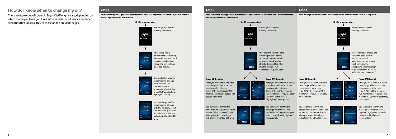Initially you will see the opening animation.

Initially you will see the opening animation.



 $50.0 -$ 

 $- 60.0$ 

nes 2347.8)



After opening animation the remaining mileage before service (oil replacement) is shown with black text on white background together with the message "Oil Maintenance required soon".



After opening animation the passed mileage after the needed service (oil replacement) is shown with black text on white background and minus sign together with the message "Oil maintenance required".

the remaining mileage previously selected view in the ODO area is shown



After you press the BACK switch the mileage will return to the previous selected screen (e.g.TRIP B) and the message "Oil Maintenance required soon" will move to the (yellow highlighted) message tab.



After you press the BACK switch the mileage will return to the previous selected screen (e.g.TRIP B) and the message "Oil maintenance required" will move to the (yellow highlighted) message tab.

After you press the ODO switch the mileage will return to the previous selected screen (e.g.TRIP B) the message "Oil Maintenance required soon" will stay on the screen.



After you press the ODO switch the mileage will return to the previous selected screen (e.g.TRIP B) the message "Oil maintenance required" will stay on the screen.

You can always confirm the message "Oil Maintenance required soon" again when you select the (yellow highlighted) message tab.

You can always confirm the message "Oil maintenance required" again when you select the (yellow highlighted) message tab.



You can always confirm the remaining mileage until the next service (oil replacement) again when you select the mileage indicator in the ODO/TRIP area.



You can always confirm the passed mileage after the needed service (oil replacement) again when you select the mileage indicator in the ODO/TRIP area.



 $+ 23428$ 

## **How do I know when to change my oil?**

There are two types of screen in Toyota WW engine cars, depending on which model you have, you'll see either a series of oil service reminder scenarios that look like this, or those on the previous pages.

### **Case 1**

**Your remaining mileage before a maintenance service is required exceeds the 1,000km distance at which you receive a notification.**

### **Case 2**

**Your remaining mileage before a maintenance service is due is less than the 1,000km distance at which you receive a notification.**

### **Case 3**

**Your mileage has exceeded the distance at which a maintenance service is required.**